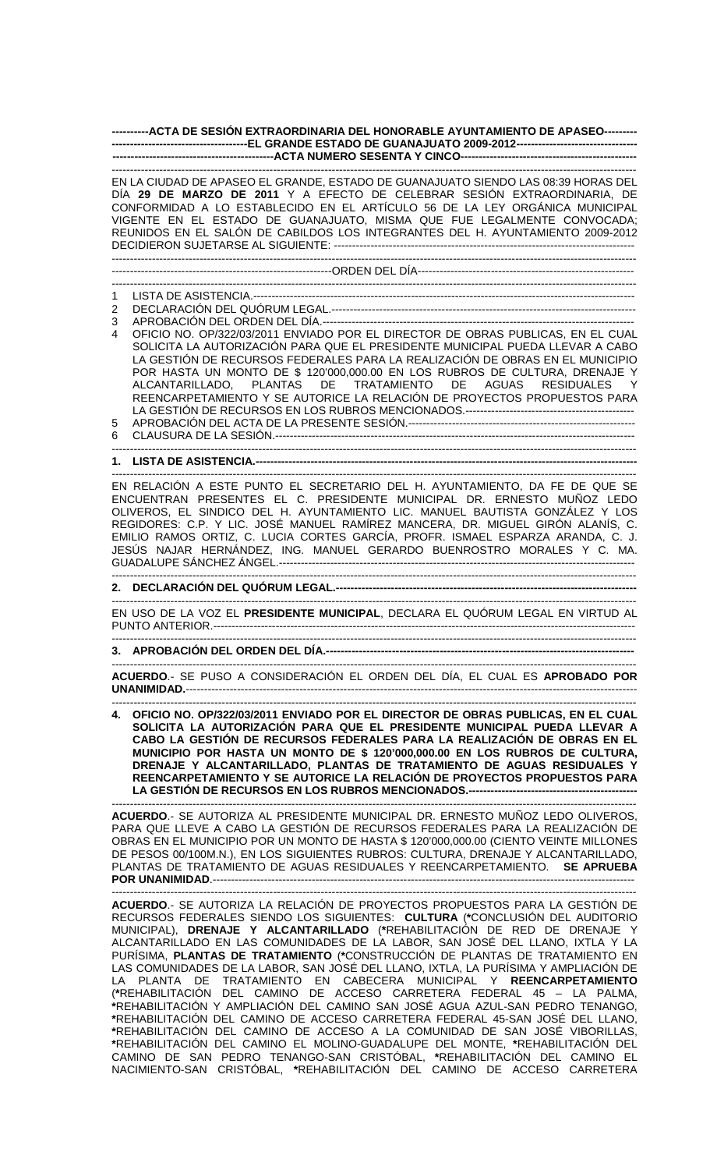**----------ACTA DE SESIÓN EXTRAORDINARIA DEL HONORABLE AYUNTAMIENTO DE APASEO--------- -------------------------------------EL GRANDE ESTADO DE GUANAJUATO 2009-2012--------------------------------- --------------------------------------------ACTA NUMERO SESENTA Y CINCO------------------------------------------------** 

|        | EN LA CIUDAD DE APASEO EL GRANDE, ESTADO DE GUANAJUATO SIENDO LAS 08:39 HORAS DEL<br>DÍA 29 DE MARZO DE 2011 Y A EFECTO DE CELEBRAR SESIÓN EXTRAORDINARIA, DE<br>CONFORMIDAD A LO ESTABLECIDO EN EL ARTÍCULO 56 DE LA LEY ORGÁNICA MUNICIPAL<br>VIGENTE EN EL ESTADO DE GUANAJUATO, MISMA QUE FUE LEGALMENTE CONVOCADA;<br>REUNIDOS EN EL SALÓN DE CABILDOS LOS INTEGRANTES DEL H. AYUNTAMIENTO 2009-2012 |
|--------|-----------------------------------------------------------------------------------------------------------------------------------------------------------------------------------------------------------------------------------------------------------------------------------------------------------------------------------------------------------------------------------------------------------|
|        |                                                                                                                                                                                                                                                                                                                                                                                                           |
|        |                                                                                                                                                                                                                                                                                                                                                                                                           |
| 1<br>2 |                                                                                                                                                                                                                                                                                                                                                                                                           |
| 3      |                                                                                                                                                                                                                                                                                                                                                                                                           |
| 4      | OFICIO NO. OP/322/03/2011 ENVIADO POR EL DIRECTOR DE OBRAS PUBLICAS, EN EL CUAL                                                                                                                                                                                                                                                                                                                           |
|        | SOLICITA LA AUTORIZACIÓN PARA QUE EL PRESIDENTE MUNICIPAL PUEDA LLEVAR A CABO<br>LA GESTIÓN DE RECURSOS FEDERALES PARA LA REALIZACIÓN DE OBRAS EN EL MUNICIPIO                                                                                                                                                                                                                                            |
|        | POR HASTA UN MONTO DE \$ 120'000,000.00 EN LOS RUBROS DE CULTURA, DRENAJE Y                                                                                                                                                                                                                                                                                                                               |
|        | ALCANTARILLADO, PLANTAS DE TRATAMIENTO DE AGUAS RESIDUALES<br>- Y                                                                                                                                                                                                                                                                                                                                         |
|        | REENCARPETAMIENTO Y SE AUTORICE LA RELACIÓN DE PROYECTOS PROPUESTOS PARA                                                                                                                                                                                                                                                                                                                                  |
| 5      |                                                                                                                                                                                                                                                                                                                                                                                                           |
| 6      |                                                                                                                                                                                                                                                                                                                                                                                                           |
|        |                                                                                                                                                                                                                                                                                                                                                                                                           |
|        |                                                                                                                                                                                                                                                                                                                                                                                                           |
|        | EN RELACIÓN A ESTE PUNTO EL SECRETARIO DEL H. AYUNTAMIENTO, DA FE DE QUE SE<br>ENCUENTRAN PRESENTES EL C. PRESIDENTE MUNICIPAL DR. ERNESTO MUÑOZ LEDO                                                                                                                                                                                                                                                     |
|        | OLIVEROS, EL SINDICO DEL H. AYUNTAMIENTO LIC. MANUEL BAUTISTA GONZÁLEZ Y LOS                                                                                                                                                                                                                                                                                                                              |
|        | REGIDORES: C.P. Y LIC. JOSÉ MANUEL RAMÍREZ MANCERA, DR. MIGUEL GIRÓN ALANÍS, C.<br>EMILIO RAMOS ORTIZ, C. LUCIA CORTES GARCÍA, PROFR. ISMAEL ESPARZA ARANDA, C. J.                                                                                                                                                                                                                                        |
|        | JESÚS NAJAR HERNÁNDEZ, ING. MANUEL GERARDO BUENROSTRO MORALES Y C. MA.                                                                                                                                                                                                                                                                                                                                    |
|        |                                                                                                                                                                                                                                                                                                                                                                                                           |
|        |                                                                                                                                                                                                                                                                                                                                                                                                           |
|        | EN USO DE LA VOZ EL PRESIDENTE MUNICIPAL, DECLARA EL QUÓRUM LEGAL EN VIRTUD AL                                                                                                                                                                                                                                                                                                                            |
|        |                                                                                                                                                                                                                                                                                                                                                                                                           |
|        |                                                                                                                                                                                                                                                                                                                                                                                                           |
|        | ACUERDO.- SE PUSO A CONSIDERACIÓN EL ORDEN DEL DÍA, EL CUAL ES APROBADO POR<br>UNANIMIDAD.--                                                                                                                                                                                                                                                                                                              |
|        | 4. OFICIO NO. OP/322/03/2011 ENVIADO POR EL DIRECTOR DE OBRAS PUBLICAS, EN EL CUAL                                                                                                                                                                                                                                                                                                                        |
|        | SOLICITA LA AUTORIZACIÓN PARA QUE EL PRESIDENTE MUNICIPAL PUEDA LLEVAR A<br>CABO LA GESTIÓN DE RECURSOS FEDERALES PARA LA REALIZACIÓN DE OBRAS EN EL                                                                                                                                                                                                                                                      |
|        | MUNICIPIO POR HASTA UN MONTO DE \$ 120'000,000.00 EN LOS RUBROS DE CULTURA,                                                                                                                                                                                                                                                                                                                               |
|        | DRENAJE Y ALCANTARILLADO, PLANTAS DE TRATAMIENTO DE AGUAS RESIDUALES Y                                                                                                                                                                                                                                                                                                                                    |
|        | REENCARPETAMIENTO Y SE AUTORICE LA RELACIÓN DE PROYECTOS PROPUESTOS PARA                                                                                                                                                                                                                                                                                                                                  |
|        |                                                                                                                                                                                                                                                                                                                                                                                                           |
|        | ACUERDO.- SE AUTORIZA AL PRESIDENTE MUNICIPAL DR. ERNESTO MUÑOZ LEDO OLIVEROS.<br>PARA QUE LLEVE A CABO LA GESTIÓN DE RECURSOS FEDERALES PARA LA REALIZACIÓN DE                                                                                                                                                                                                                                           |
|        | OBRAS EN EL MUNICIPIO POR UN MONTO DE HASTA \$ 120'000,000.00 (CIENTO VEINTE MILLONES                                                                                                                                                                                                                                                                                                                     |
|        | DE PESOS 00/100M.N.), EN LOS SIGUIENTES RUBROS: CULTURA, DRENAJE Y ALCANTARILLADO,<br>PLANTAS DE TRATAMIENTO DE AGUAS RESIDUALES Y REENCARPETAMIENTO. SE APRUEBA                                                                                                                                                                                                                                          |
|        |                                                                                                                                                                                                                                                                                                                                                                                                           |
|        |                                                                                                                                                                                                                                                                                                                                                                                                           |
|        | ACUERDO.- SE AUTORIZA LA RELACIÓN DE PROYECTOS PROPUESTOS PARA LA GESTIÓN DE<br>RECURSOS FEDERALES SIENDO LOS SIGUIENTES: CULTURA (*CONCLUSIÓN DEL AUDITORIO                                                                                                                                                                                                                                              |
|        | MUNICIPAL), DRENAJE Y ALCANTARILLADO (*REHABILITACIÓN DE RED DE DRENAJE Y                                                                                                                                                                                                                                                                                                                                 |
|        | ALCANTARILLADO EN LAS COMUNIDADES DE LA LABOR, SAN JOSÉ DEL LLANO, IXTLA Y LA<br>PURÍSIMA, PLANTAS DE TRATAMIENTO (*CONSTRUCCIÓN DE PLANTAS DE TRATAMIENTO EN                                                                                                                                                                                                                                             |
|        | LAS COMUNIDADES DE LA LABOR, SAN JOSÉ DEL LLANO, IXTLA, LA PURÍSIMA Y AMPLIACIÓN DE                                                                                                                                                                                                                                                                                                                       |
|        | LA PLANTA DE TRATAMIENTO EN CABECERA MUNICIPAL Y REENCARPETAMIENTO                                                                                                                                                                                                                                                                                                                                        |
|        | (*REHABILITACIÓN DEL CAMINO DE ACCESO CARRETERA FEDERAL 45 - LA PALMA,<br>*REHABILITACIÓN Y AMPLIACIÓN DEL CAMINO SAN JOSÉ AGUA AZUL-SAN PEDRO TENANGO,                                                                                                                                                                                                                                                   |
|        | *REHABILITACIÓN DEL CAMINO DE ACCESO CARRETERA FEDERAL 45-SAN JOSÉ DEL LLANO,                                                                                                                                                                                                                                                                                                                             |
|        | *REHABILITACIÓN DEL CAMINO DE ACCESO A LA COMUNIDAD DE SAN JOSÉ VIBORILLAS,                                                                                                                                                                                                                                                                                                                               |
|        | *REHABILITACIÓN DEL CAMINO EL MOLINO-GUADALUPE DEL MONTE, *REHABILITACIÓN DEL<br>CAMINO DE SAN PEDRO TENANGO-SAN CRISTÓBAL, *REHABILITACIÓN DEL CAMINO EL                                                                                                                                                                                                                                                 |
|        | NACIMIENTO-SAN CRISTÓBAL, *REHABILITACIÓN DEL CAMINO DE ACCESO CARRETERA                                                                                                                                                                                                                                                                                                                                  |